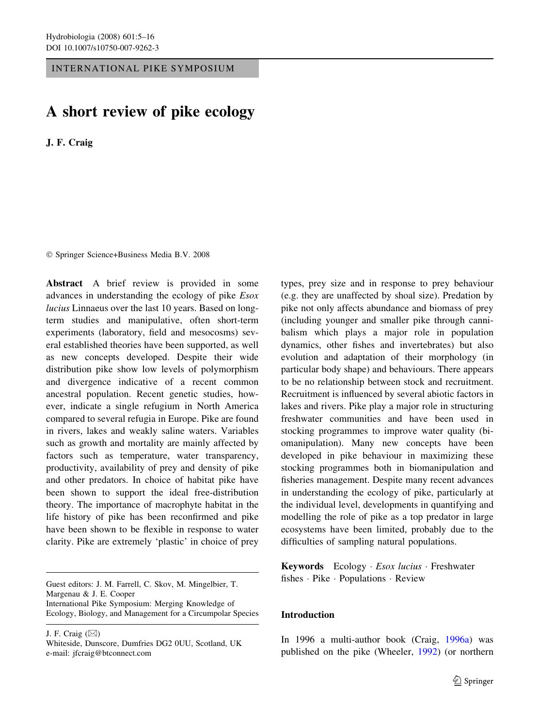INTERNATIONAL PIKE SYMPOSIUM

# A short review of pike ecology

J. F. Craig

Springer Science+Business Media B.V. 2008

Abstract A brief review is provided in some advances in understanding the ecology of pike Esox lucius Linnaeus over the last 10 years. Based on longterm studies and manipulative, often short-term experiments (laboratory, field and mesocosms) several established theories have been supported, as well as new concepts developed. Despite their wide distribution pike show low levels of polymorphism and divergence indicative of a recent common ancestral population. Recent genetic studies, however, indicate a single refugium in North America compared to several refugia in Europe. Pike are found in rivers, lakes and weakly saline waters. Variables such as growth and mortality are mainly affected by factors such as temperature, water transparency, productivity, availability of prey and density of pike and other predators. In choice of habitat pike have been shown to support the ideal free-distribution theory. The importance of macrophyte habitat in the life history of pike has been reconfirmed and pike have been shown to be flexible in response to water clarity. Pike are extremely 'plastic' in choice of prey

Guest editors: J. M. Farrell, C. Skov, M. Mingelbier, T. Margenau & J. E. Cooper International Pike Symposium: Merging Knowledge of Ecology, Biology, and Management for a Circumpolar Species

J. F. Craig  $(\boxtimes)$ 

types, prey size and in response to prey behaviour (e.g. they are unaffected by shoal size). Predation by pike not only affects abundance and biomass of prey (including younger and smaller pike through cannibalism which plays a major role in population dynamics, other fishes and invertebrates) but also evolution and adaptation of their morphology (in particular body shape) and behaviours. There appears to be no relationship between stock and recruitment. Recruitment is influenced by several abiotic factors in lakes and rivers. Pike play a major role in structuring freshwater communities and have been used in stocking programmes to improve water quality (biomanipulation). Many new concepts have been developed in pike behaviour in maximizing these stocking programmes both in biomanipulation and fisheries management. Despite many recent advances in understanding the ecology of pike, particularly at the individual level, developments in quantifying and modelling the role of pike as a top predator in large ecosystems have been limited, probably due to the difficulties of sampling natural populations.

Keywords Ecology  $Esox$  lucius  $\cdot$  Freshwater fishes · Pike · Populations · Review

# Introduction

In 1996 a multi-author book (Craig, 1996a) was published on the pike (Wheeler, 1992) (or northern

Whiteside, Dunscore, Dumfries DG2 0UU, Scotland, UK e-mail: jfcraig@btconnect.com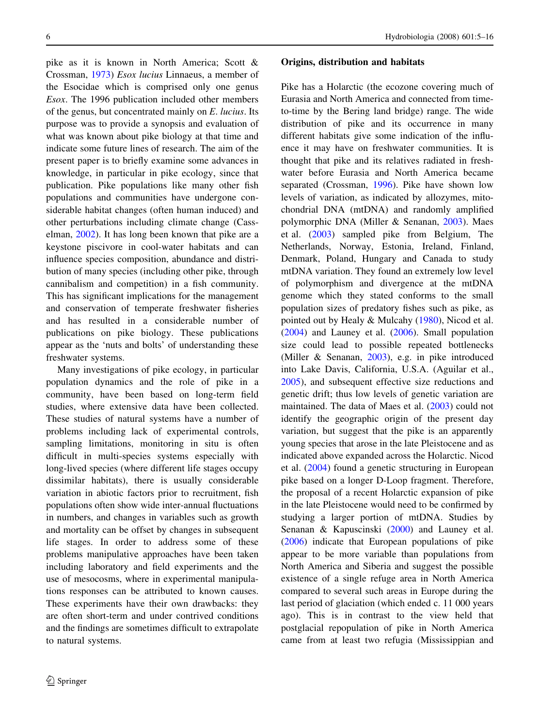pike as it is known in North America; Scott & Crossman, 1973) Esox lucius Linnaeus, a member of the Esocidae which is comprised only one genus Esox. The 1996 publication included other members of the genus, but concentrated mainly on E. lucius. Its purpose was to provide a synopsis and evaluation of what was known about pike biology at that time and indicate some future lines of research. The aim of the present paper is to briefly examine some advances in knowledge, in particular in pike ecology, since that publication. Pike populations like many other fish populations and communities have undergone considerable habitat changes (often human induced) and other perturbations including climate change (Casselman, 2002). It has long been known that pike are a keystone piscivore in cool-water habitats and can influence species composition, abundance and distribution of many species (including other pike, through cannibalism and competition) in a fish community. This has significant implications for the management and conservation of temperate freshwater fisheries and has resulted in a considerable number of publications on pike biology. These publications appear as the 'nuts and bolts' of understanding these freshwater systems.

Many investigations of pike ecology, in particular population dynamics and the role of pike in a community, have been based on long-term field studies, where extensive data have been collected. These studies of natural systems have a number of problems including lack of experimental controls, sampling limitations, monitoring in situ is often difficult in multi-species systems especially with long-lived species (where different life stages occupy dissimilar habitats), there is usually considerable variation in abiotic factors prior to recruitment, fish populations often show wide inter-annual fluctuations in numbers, and changes in variables such as growth and mortality can be offset by changes in subsequent life stages. In order to address some of these problems manipulative approaches have been taken including laboratory and field experiments and the use of mesocosms, where in experimental manipulations responses can be attributed to known causes. These experiments have their own drawbacks: they are often short-term and under contrived conditions and the findings are sometimes difficult to extrapolate to natural systems.

### Origins, distribution and habitats

Pike has a Holarctic (the ecozone covering much of Eurasia and North America and connected from timeto-time by the Bering land bridge) range. The wide distribution of pike and its occurrence in many different habitats give some indication of the influence it may have on freshwater communities. It is thought that pike and its relatives radiated in freshwater before Eurasia and North America became separated (Crossman, 1996). Pike have shown low levels of variation, as indicated by allozymes, mitochondrial DNA (mtDNA) and randomly amplified polymorphic DNA (Miller & Senanan, 2003). Maes et al. (2003) sampled pike from Belgium, The Netherlands, Norway, Estonia, Ireland, Finland, Denmark, Poland, Hungary and Canada to study mtDNA variation. They found an extremely low level of polymorphism and divergence at the mtDNA genome which they stated conforms to the small population sizes of predatory fishes such as pike, as pointed out by Healy & Mulcahy (1980), Nicod et al. (2004) and Launey et al. (2006). Small population size could lead to possible repeated bottlenecks (Miller & Senanan, 2003), e.g. in pike introduced into Lake Davis, California, U.S.A. (Aguilar et al., 2005), and subsequent effective size reductions and genetic drift; thus low levels of genetic variation are maintained. The data of Maes et al. (2003) could not identify the geographic origin of the present day variation, but suggest that the pike is an apparently young species that arose in the late Pleistocene and as indicated above expanded across the Holarctic. Nicod et al. (2004) found a genetic structuring in European pike based on a longer D-Loop fragment. Therefore, the proposal of a recent Holarctic expansion of pike in the late Pleistocene would need to be confirmed by studying a larger portion of mtDNA. Studies by Senanan & Kapuscinski (2000) and Launey et al. (2006) indicate that European populations of pike appear to be more variable than populations from North America and Siberia and suggest the possible existence of a single refuge area in North America compared to several such areas in Europe during the last period of glaciation (which ended c. 11 000 years ago). This is in contrast to the view held that postglacial repopulation of pike in North America came from at least two refugia (Mississippian and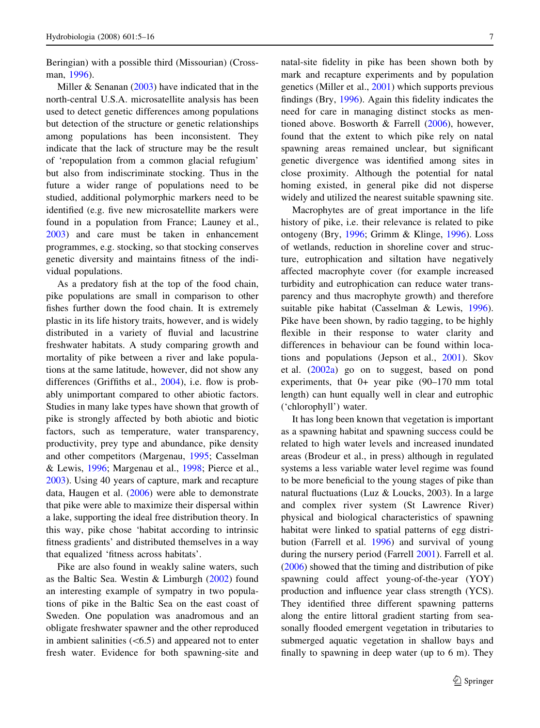Beringian) with a possible third (Missourian) (Crossman, 1996).

Miller & Senanan (2003) have indicated that in the north-central U.S.A. microsatellite analysis has been used to detect genetic differences among populations but detection of the structure or genetic relationships among populations has been inconsistent. They indicate that the lack of structure may be the result of 'repopulation from a common glacial refugium' but also from indiscriminate stocking. Thus in the future a wider range of populations need to be studied, additional polymorphic markers need to be identified (e.g. five new microsatellite markers were found in a population from France; Launey et al., 2003) and care must be taken in enhancement programmes, e.g. stocking, so that stocking conserves genetic diversity and maintains fitness of the individual populations.

As a predatory fish at the top of the food chain, pike populations are small in comparison to other fishes further down the food chain. It is extremely plastic in its life history traits, however, and is widely distributed in a variety of fluvial and lacustrine freshwater habitats. A study comparing growth and mortality of pike between a river and lake populations at the same latitude, however, did not show any differences (Griffiths et al., 2004), i.e. flow is probably unimportant compared to other abiotic factors. Studies in many lake types have shown that growth of pike is strongly affected by both abiotic and biotic factors, such as temperature, water transparency, productivity, prey type and abundance, pike density and other competitors (Margenau, 1995; Casselman & Lewis, 1996; Margenau et al., 1998; Pierce et al., 2003). Using 40 years of capture, mark and recapture data, Haugen et al. (2006) were able to demonstrate that pike were able to maximize their dispersal within a lake, supporting the ideal free distribution theory. In this way, pike chose 'habitat according to intrinsic fitness gradients' and distributed themselves in a way that equalized 'fitness across habitats'.

Pike are also found in weakly saline waters, such as the Baltic Sea. Westin & Limburgh (2002) found an interesting example of sympatry in two populations of pike in the Baltic Sea on the east coast of Sweden. One population was anadromous and an obligate freshwater spawner and the other reproduced in ambient salinities  $( $6.5$ )$  and appeared not to enter fresh water. Evidence for both spawning-site and

natal-site fidelity in pike has been shown both by mark and recapture experiments and by population genetics (Miller et al., 2001) which supports previous findings (Bry, 1996). Again this fidelity indicates the need for care in managing distinct stocks as mentioned above. Bosworth & Farrell (2006), however, found that the extent to which pike rely on natal spawning areas remained unclear, but significant genetic divergence was identified among sites in close proximity. Although the potential for natal homing existed, in general pike did not disperse widely and utilized the nearest suitable spawning site.

Macrophytes are of great importance in the life history of pike, i.e. their relevance is related to pike ontogeny (Bry, 1996; Grimm & Klinge, 1996). Loss of wetlands, reduction in shoreline cover and structure, eutrophication and siltation have negatively affected macrophyte cover (for example increased turbidity and eutrophication can reduce water transparency and thus macrophyte growth) and therefore suitable pike habitat (Casselman & Lewis, 1996). Pike have been shown, by radio tagging, to be highly flexible in their response to water clarity and differences in behaviour can be found within locations and populations (Jepson et al., 2001). Skov et al. (2002a) go on to suggest, based on pond experiments, that 0+ year pike (90–170 mm total length) can hunt equally well in clear and eutrophic ('chlorophyll') water.

It has long been known that vegetation is important as a spawning habitat and spawning success could be related to high water levels and increased inundated areas (Brodeur et al., in press) although in regulated systems a less variable water level regime was found to be more beneficial to the young stages of pike than natural fluctuations (Luz & Loucks, 2003). In a large and complex river system (St Lawrence River) physical and biological characteristics of spawning habitat were linked to spatial patterns of egg distribution (Farrell et al. 1996) and survival of young during the nursery period (Farrell 2001). Farrell et al. (2006) showed that the timing and distribution of pike spawning could affect young-of-the-year (YOY) production and influence year class strength (YCS). They identified three different spawning patterns along the entire littoral gradient starting from seasonally flooded emergent vegetation in tributaries to submerged aquatic vegetation in shallow bays and finally to spawning in deep water (up to 6 m). They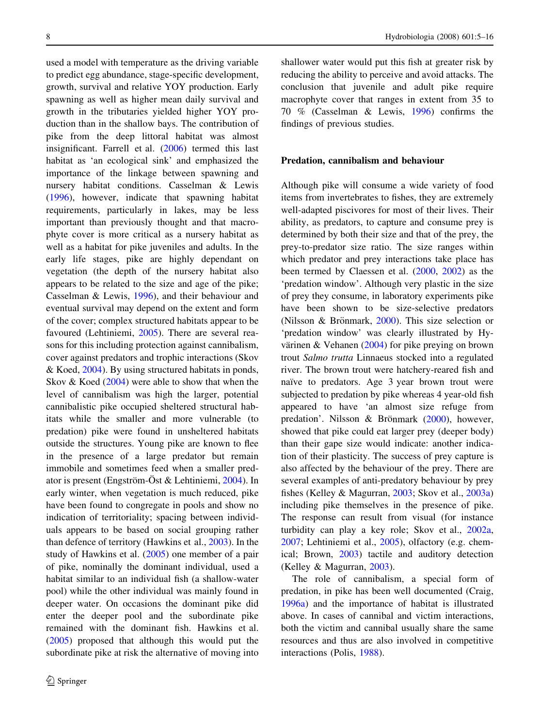used a model with temperature as the driving variable to predict egg abundance, stage-specific development, growth, survival and relative YOY production. Early spawning as well as higher mean daily survival and growth in the tributaries yielded higher YOY production than in the shallow bays. The contribution of pike from the deep littoral habitat was almost insignificant. Farrell et al. (2006) termed this last habitat as 'an ecological sink' and emphasized the importance of the linkage between spawning and nursery habitat conditions. Casselman & Lewis (1996), however, indicate that spawning habitat requirements, particularly in lakes, may be less important than previously thought and that macrophyte cover is more critical as a nursery habitat as well as a habitat for pike juveniles and adults. In the early life stages, pike are highly dependant on vegetation (the depth of the nursery habitat also appears to be related to the size and age of the pike; Casselman & Lewis, 1996), and their behaviour and eventual survival may depend on the extent and form of the cover; complex structured habitats appear to be favoured (Lehtiniemi, 2005). There are several reasons for this including protection against cannibalism, cover against predators and trophic interactions (Skov & Koed, 2004). By using structured habitats in ponds, Skov & Koed (2004) were able to show that when the level of cannibalism was high the larger, potential cannibalistic pike occupied sheltered structural habitats while the smaller and more vulnerable (to predation) pike were found in unsheltered habitats outside the structures. Young pike are known to flee in the presence of a large predator but remain immobile and sometimes feed when a smaller predator is present (Engström-Öst & Lehtiniemi,  $2004$ ). In early winter, when vegetation is much reduced, pike have been found to congregate in pools and show no indication of territoriality; spacing between individuals appears to be based on social grouping rather than defence of territory (Hawkins et al., 2003). In the study of Hawkins et al. (2005) one member of a pair of pike, nominally the dominant individual, used a habitat similar to an individual fish (a shallow-water pool) while the other individual was mainly found in deeper water. On occasions the dominant pike did enter the deeper pool and the subordinate pike remained with the dominant fish. Hawkins et al. (2005) proposed that although this would put the subordinate pike at risk the alternative of moving into

shallower water would put this fish at greater risk by reducing the ability to perceive and avoid attacks. The conclusion that juvenile and adult pike require macrophyte cover that ranges in extent from 35 to 70 % (Casselman & Lewis, 1996) confirms the findings of previous studies.

#### Predation, cannibalism and behaviour

Although pike will consume a wide variety of food items from invertebrates to fishes, they are extremely well-adapted piscivores for most of their lives. Their ability, as predators, to capture and consume prey is determined by both their size and that of the prey, the prey-to-predator size ratio. The size ranges within which predator and prey interactions take place has been termed by Claessen et al. (2000, 2002) as the 'predation window'. Although very plastic in the size of prey they consume, in laboratory experiments pike have been shown to be size-selective predators (Nilsson & Brönmark,  $2000$ ). This size selection or 'predation window' was clearly illustrated by Hyvärinen & Vehanen (2004) for pike preying on brown trout Salmo trutta Linnaeus stocked into a regulated river. The brown trout were hatchery-reared fish and naïve to predators. Age 3 year brown trout were subjected to predation by pike whereas 4 year-old fish appeared to have 'an almost size refuge from predation'. Nilsson & Brönmark  $(2000)$ , however, showed that pike could eat larger prey (deeper body) than their gape size would indicate: another indication of their plasticity. The success of prey capture is also affected by the behaviour of the prey. There are several examples of anti-predatory behaviour by prey fishes (Kelley & Magurran, 2003; Skov et al., 2003a) including pike themselves in the presence of pike. The response can result from visual (for instance turbidity can play a key role; Skov et al., 2002a, 2007; Lehtiniemi et al., 2005), olfactory (e.g. chemical; Brown, 2003) tactile and auditory detection (Kelley & Magurran, 2003).

The role of cannibalism, a special form of predation, in pike has been well documented (Craig, 1996a) and the importance of habitat is illustrated above. In cases of cannibal and victim interactions, both the victim and cannibal usually share the same resources and thus are also involved in competitive interactions (Polis, 1988).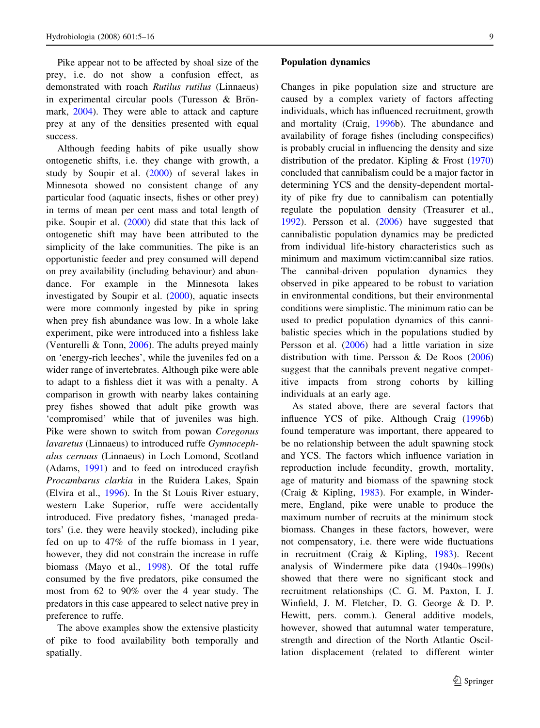Pike appear not to be affected by shoal size of the prey, i.e. do not show a confusion effect, as demonstrated with roach Rutilus rutilus (Linnaeus) in experimental circular pools (Turesson  $&$  Brönmark, 2004). They were able to attack and capture prey at any of the densities presented with equal success.

Although feeding habits of pike usually show ontogenetic shifts, i.e. they change with growth, a study by Soupir et al. (2000) of several lakes in Minnesota showed no consistent change of any particular food (aquatic insects, fishes or other prey) in terms of mean per cent mass and total length of pike. Soupir et al. (2000) did state that this lack of ontogenetic shift may have been attributed to the simplicity of the lake communities. The pike is an opportunistic feeder and prey consumed will depend on prey availability (including behaviour) and abundance. For example in the Minnesota lakes investigated by Soupir et al. (2000), aquatic insects were more commonly ingested by pike in spring when prey fish abundance was low. In a whole lake experiment, pike were introduced into a fishless lake (Venturelli & Tonn, 2006). The adults preyed mainly on 'energy-rich leeches', while the juveniles fed on a wider range of invertebrates. Although pike were able to adapt to a fishless diet it was with a penalty. A comparison in growth with nearby lakes containing prey fishes showed that adult pike growth was 'compromised' while that of juveniles was high. Pike were shown to switch from powan Coregonus lavaretus (Linnaeus) to introduced ruffe Gymnocephalus cernuus (Linnaeus) in Loch Lomond, Scotland (Adams, 1991) and to feed on introduced crayfish Procambarus clarkia in the Ruidera Lakes, Spain (Elvira et al., 1996). In the St Louis River estuary, western Lake Superior, ruffe were accidentally introduced. Five predatory fishes, 'managed predators' (i.e. they were heavily stocked), including pike fed on up to 47% of the ruffe biomass in 1 year, however, they did not constrain the increase in ruffe biomass (Mayo et al., 1998). Of the total ruffe consumed by the five predators, pike consumed the most from 62 to 90% over the 4 year study. The predators in this case appeared to select native prey in preference to ruffe.

The above examples show the extensive plasticity of pike to food availability both temporally and spatially.

#### Population dynamics

Changes in pike population size and structure are caused by a complex variety of factors affecting individuals, which has influenced recruitment, growth and mortality (Craig, 1996b). The abundance and availability of forage fishes (including conspecifics) is probably crucial in influencing the density and size distribution of the predator. Kipling & Frost (1970) concluded that cannibalism could be a major factor in determining YCS and the density-dependent mortality of pike fry due to cannibalism can potentially regulate the population density (Treasurer et al., 1992). Persson et al. (2006) have suggested that cannibalistic population dynamics may be predicted from individual life-history characteristics such as minimum and maximum victim:cannibal size ratios. The cannibal-driven population dynamics they observed in pike appeared to be robust to variation in environmental conditions, but their environmental conditions were simplistic. The minimum ratio can be used to predict population dynamics of this cannibalistic species which in the populations studied by Persson et al. (2006) had a little variation in size distribution with time. Persson & De Roos (2006) suggest that the cannibals prevent negative competitive impacts from strong cohorts by killing individuals at an early age.

As stated above, there are several factors that influence YCS of pike. Although Craig (1996b) found temperature was important, there appeared to be no relationship between the adult spawning stock and YCS. The factors which influence variation in reproduction include fecundity, growth, mortality, age of maturity and biomass of the spawning stock (Craig & Kipling, 1983). For example, in Windermere, England, pike were unable to produce the maximum number of recruits at the minimum stock biomass. Changes in these factors, however, were not compensatory, i.e. there were wide fluctuations in recruitment (Craig & Kipling, 1983). Recent analysis of Windermere pike data (1940s–1990s) showed that there were no significant stock and recruitment relationships (C. G. M. Paxton, I. J. Winfield, J. M. Fletcher, D. G. George & D. P. Hewitt, pers. comm.). General additive models, however, showed that autumnal water temperature, strength and direction of the North Atlantic Oscillation displacement (related to different winter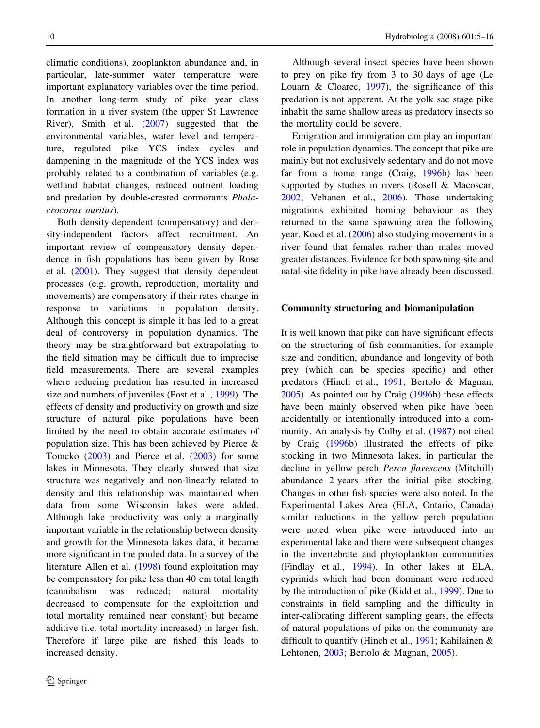climatic conditions), zooplankton abundance and, in particular, late-summer water temperature were important explanatory variables over the time period. In another long-term study of pike year class formation in a river system (the upper St Lawrence River), Smith et al. (2007) suggested that the environmental variables, water level and temperature, regulated pike YCS index cycles and dampening in the magnitude of the YCS index was probably related to a combination of variables (e.g. wetland habitat changes, reduced nutrient loading and predation by double-crested cormorants Phalacrocorax auritus).

Both density-dependent (compensatory) and density-independent factors affect recruitment. An important review of compensatory density dependence in fish populations has been given by Rose et al. (2001). They suggest that density dependent processes (e.g. growth, reproduction, mortality and movements) are compensatory if their rates change in response to variations in population density. Although this concept is simple it has led to a great deal of controversy in population dynamics. The theory may be straightforward but extrapolating to the field situation may be difficult due to imprecise field measurements. There are several examples where reducing predation has resulted in increased size and numbers of juveniles (Post et al., 1999). The effects of density and productivity on growth and size structure of natural pike populations have been limited by the need to obtain accurate estimates of population size. This has been achieved by Pierce & Tomcko (2003) and Pierce et al. (2003) for some lakes in Minnesota. They clearly showed that size structure was negatively and non-linearly related to density and this relationship was maintained when data from some Wisconsin lakes were added. Although lake productivity was only a marginally important variable in the relationship between density and growth for the Minnesota lakes data, it became more significant in the pooled data. In a survey of the literature Allen et al. (1998) found exploitation may be compensatory for pike less than 40 cm total length (cannibalism was reduced; natural mortality decreased to compensate for the exploitation and total mortality remained near constant) but became additive (i.e. total mortality increased) in larger fish. Therefore if large pike are fished this leads to increased density.

Although several insect species have been shown to prey on pike fry from 3 to 30 days of age (Le Louarn  $\&$  Cloarec, 1997), the significance of this predation is not apparent. At the yolk sac stage pike inhabit the same shallow areas as predatory insects so the mortality could be severe.

Emigration and immigration can play an important role in population dynamics. The concept that pike are mainly but not exclusively sedentary and do not move far from a home range (Craig, 1996b) has been supported by studies in rivers (Rosell & Macoscar, 2002; Vehanen et al., 2006). Those undertaking migrations exhibited homing behaviour as they returned to the same spawning area the following year. Koed et al. (2006) also studying movements in a river found that females rather than males moved greater distances. Evidence for both spawning-site and natal-site fidelity in pike have already been discussed.

#### Community structuring and biomanipulation

It is well known that pike can have significant effects on the structuring of fish communities, for example size and condition, abundance and longevity of both prey (which can be species specific) and other predators (Hinch et al., 1991; Bertolo & Magnan, 2005). As pointed out by Craig (1996b) these effects have been mainly observed when pike have been accidentally or intentionally introduced into a community. An analysis by Colby et al. (1987) not cited by Craig (1996b) illustrated the effects of pike stocking in two Minnesota lakes, in particular the decline in yellow perch Perca flavescens (Mitchill) abundance 2 years after the initial pike stocking. Changes in other fish species were also noted. In the Experimental Lakes Area (ELA, Ontario, Canada) similar reductions in the yellow perch population were noted when pike were introduced into an experimental lake and there were subsequent changes in the invertebrate and phytoplankton communities (Findlay et al., 1994). In other lakes at ELA, cyprinids which had been dominant were reduced by the introduction of pike (Kidd et al., 1999). Due to constraints in field sampling and the difficulty in inter-calibrating different sampling gears, the effects of natural populations of pike on the community are difficult to quantify (Hinch et al., 1991; Kahilainen & Lehtonen, 2003; Bertolo & Magnan, 2005).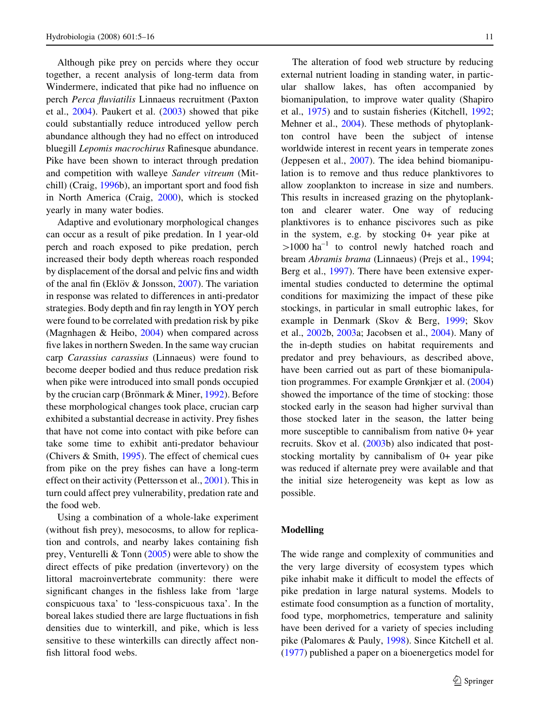Although pike prey on percids where they occur together, a recent analysis of long-term data from Windermere, indicated that pike had no influence on perch Perca fluviatilis Linnaeus recruitment (Paxton et al., 2004). Paukert et al. (2003) showed that pike could substantially reduce introduced yellow perch abundance although they had no effect on introduced bluegill Lepomis macrochirus Rafinesque abundance. Pike have been shown to interact through predation and competition with walleye Sander vitreum (Mitchill) (Craig, 1996b), an important sport and food fish in North America (Craig, 2000), which is stocked yearly in many water bodies.

Adaptive and evolutionary morphological changes can occur as a result of pike predation. In 1 year-old perch and roach exposed to pike predation, perch increased their body depth whereas roach responded by displacement of the dorsal and pelvic fins and width of the anal fin (Eklöv & Jonsson,  $2007$ ). The variation in response was related to differences in anti-predator strategies. Body depth and fin ray length in YOY perch were found to be correlated with predation risk by pike (Magnhagen & Heibo, 2004) when compared across five lakes in northern Sweden. In the same way crucian carp Carassius carassius (Linnaeus) were found to become deeper bodied and thus reduce predation risk when pike were introduced into small ponds occupied by the crucian carp (Brönmark & Miner, 1992). Before these morphological changes took place, crucian carp exhibited a substantial decrease in activity. Prey fishes that have not come into contact with pike before can take some time to exhibit anti-predator behaviour (Chivers & Smith, 1995). The effect of chemical cues from pike on the prey fishes can have a long-term effect on their activity (Pettersson et al., 2001). This in turn could affect prey vulnerability, predation rate and the food web.

Using a combination of a whole-lake experiment (without fish prey), mesocosms, to allow for replication and controls, and nearby lakes containing fish prey, Venturelli & Tonn (2005) were able to show the direct effects of pike predation (invertevory) on the littoral macroinvertebrate community: there were significant changes in the fishless lake from 'large conspicuous taxa' to 'less-conspicuous taxa'. In the boreal lakes studied there are large fluctuations in fish densities due to winterkill, and pike, which is less sensitive to these winterkills can directly affect nonfish littoral food webs.

The alteration of food web structure by reducing external nutrient loading in standing water, in particular shallow lakes, has often accompanied by biomanipulation, to improve water quality (Shapiro et al., 1975) and to sustain fisheries (Kitchell, 1992; Mehner et al., 2004). These methods of phytoplankton control have been the subject of intense worldwide interest in recent years in temperate zones (Jeppesen et al., 2007). The idea behind biomanipulation is to remove and thus reduce planktivores to allow zooplankton to increase in size and numbers. This results in increased grazing on the phytoplankton and clearer water. One way of reducing planktivores is to enhance piscivores such as pike in the system, e.g. by stocking 0+ year pike at  $>1000$  ha<sup>-1</sup> to control newly hatched roach and bream Abramis brama (Linnaeus) (Prejs et al., 1994; Berg et al., 1997). There have been extensive experimental studies conducted to determine the optimal conditions for maximizing the impact of these pike stockings, in particular in small eutrophic lakes, for example in Denmark (Skov & Berg, 1999; Skov et al., 2002b, 2003a; Jacobsen et al., 2004). Many of the in-depth studies on habitat requirements and predator and prey behaviours, as described above, have been carried out as part of these biomanipulation programmes. For example Grønkjær et al. (2004) showed the importance of the time of stocking: those stocked early in the season had higher survival than those stocked later in the season, the latter being more susceptible to cannibalism from native 0+ year recruits. Skov et al. (2003b) also indicated that poststocking mortality by cannibalism of 0+ year pike was reduced if alternate prey were available and that the initial size heterogeneity was kept as low as possible.

## Modelling

The wide range and complexity of communities and the very large diversity of ecosystem types which pike inhabit make it difficult to model the effects of pike predation in large natural systems. Models to estimate food consumption as a function of mortality, food type, morphometrics, temperature and salinity have been derived for a variety of species including pike (Palomares & Pauly, 1998). Since Kitchell et al. (1977) published a paper on a bioenergetics model for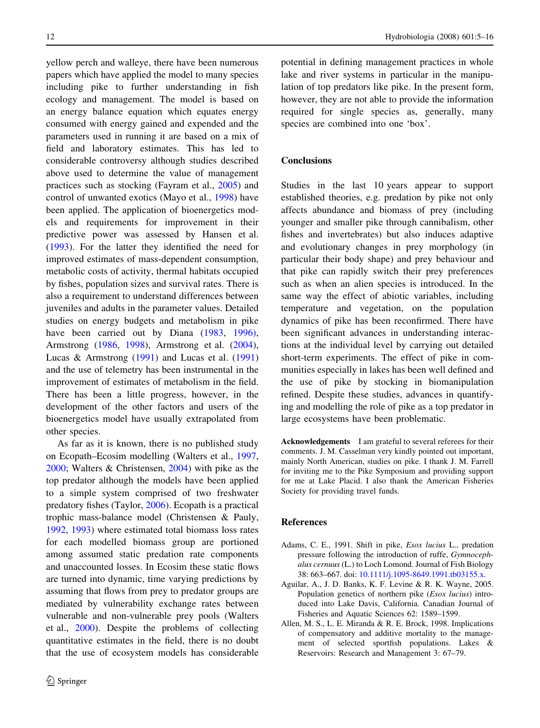yellow perch and walleye, there have been numerous papers which have applied the model to many species including pike to further understanding in fish ecology and management. The model is based on an energy balance equation which equates energy consumed with energy gained and expended and the parameters used in running it are based on a mix of field and laboratory estimates. This has led to considerable controversy although studies described above used to determine the value of management practices such as stocking (Fayram et al., 2005) and control of unwanted exotics (Mayo et al., 1998) have been applied. The application of bioenergetics models and requirements for improvement in their predictive power was assessed by Hansen et al. (1993). For the latter they identified the need for improved estimates of mass-dependent consumption, metabolic costs of activity, thermal habitats occupied by fishes, population sizes and survival rates. There is also a requirement to understand differences between juveniles and adults in the parameter values. Detailed studies on energy budgets and metabolism in pike have been carried out by Diana (1983, 1996), Armstrong (1986, 1998), Armstrong et al. (2004), Lucas & Armstrong (1991) and Lucas et al. (1991) and the use of telemetry has been instrumental in the improvement of estimates of metabolism in the field. There has been a little progress, however, in the development of the other factors and users of the bioenergetics model have usually extrapolated from other species.

As far as it is known, there is no published study on Ecopath–Ecosim modelling (Walters et al., 1997, 2000; Walters & Christensen, 2004) with pike as the top predator although the models have been applied to a simple system comprised of two freshwater predatory fishes (Taylor, 2006). Ecopath is a practical trophic mass-balance model (Christensen & Pauly, 1992, 1993) where estimated total biomass loss rates for each modelled biomass group are portioned among assumed static predation rate components and unaccounted losses. In Ecosim these static flows are turned into dynamic, time varying predictions by assuming that flows from prey to predator groups are mediated by vulnerability exchange rates between vulnerable and non-vulnerable prey pools (Walters et al., 2000). Despite the problems of collecting quantitative estimates in the field, there is no doubt that the use of ecosystem models has considerable

potential in defining management practices in whole lake and river systems in particular in the manipulation of top predators like pike. In the present form, however, they are not able to provide the information required for single species as, generally, many species are combined into one 'box'.

# **Conclusions**

Studies in the last 10 years appear to support established theories, e.g. predation by pike not only affects abundance and biomass of prey (including younger and smaller pike through cannibalism, other fishes and invertebrates) but also induces adaptive and evolutionary changes in prey morphology (in particular their body shape) and prey behaviour and that pike can rapidly switch their prey preferences such as when an alien species is introduced. In the same way the effect of abiotic variables, including temperature and vegetation, on the population dynamics of pike has been reconfirmed. There have been significant advances in understanding interactions at the individual level by carrying out detailed short-term experiments. The effect of pike in communities especially in lakes has been well defined and the use of pike by stocking in biomanipulation refined. Despite these studies, advances in quantifying and modelling the role of pike as a top predator in large ecosystems have been problematic.

Acknowledgements I am grateful to several referees for their comments. J. M. Casselman very kindly pointed out important, mainly North American, studies on pike. I thank J. M. Farrell for inviting me to the Pike Symposium and providing support for me at Lake Placid. I also thank the American Fisheries Society for providing travel funds.

## References

- Adams, C. E., 1991. Shift in pike, Esox lucius L., predation pressure following the introduction of ruffe, Gymnocephalus cernuus (L.) to Loch Lomond. Journal of Fish Biology 38: 663–667. doi: [10.1111/j.1095-8649.1991.tb03155.x.](http://dx.doi.org/10.1111/j.1095-8649.1991.tb03155.x)
- Aguilar, A., J. D. Banks, K. F. Levine & R. K. Wayne, 2005. Population genetics of northern pike (Esox lucius) introduced into Lake Davis, California. Canadian Journal of Fisheries and Aquatic Sciences 62: 1589–1599.
- Allen, M. S., L. E. Miranda & R. E. Brock, 1998. Implications of compensatory and additive mortality to the management of selected sportfish populations. Lakes & Reservoirs: Research and Management 3: 67–79.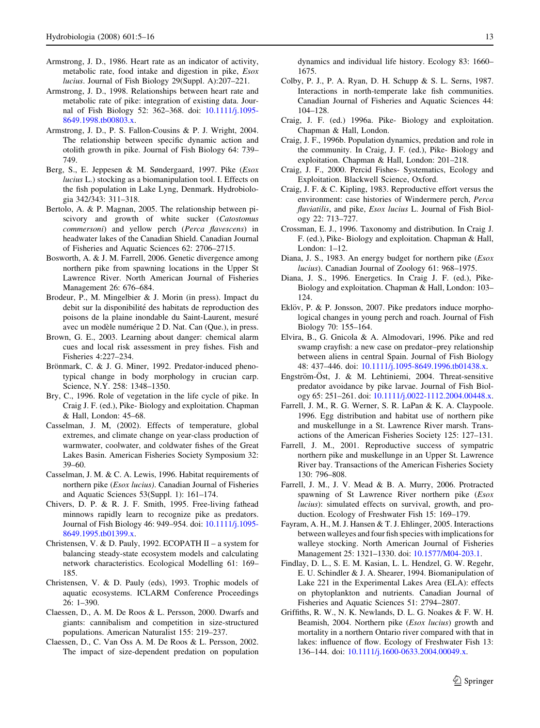- Armstrong, J. D., 1986. Heart rate as an indicator of activity, metabolic rate, food intake and digestion in pike, Esox lucius. Journal of Fish Biology 29(Suppl. A):207–221.
- Armstrong, J. D., 1998. Relationships between heart rate and metabolic rate of pike: integration of existing data. Journal of Fish Biology 52: 362–368. doi: [10.1111/j.1095-](http://dx.doi.org/10.1111/j.1095-8649.1998.tb00803.x) [8649.1998.tb00803.x](http://dx.doi.org/10.1111/j.1095-8649.1998.tb00803.x).
- Armstrong, J. D., P. S. Fallon-Cousins & P. J. Wright, 2004. The relationship between specific dynamic action and otolith growth in pike. Journal of Fish Biology 64: 739– 749.
- Berg, S., E. Jeppesen & M. Søndergaard, 1997. Pike (Esox lucius L.) stocking as a biomanipulation tool. I. Effects on the fish population in Lake Lyng, Denmark. Hydrobiologia 342/343: 311–318.
- Bertolo, A. & P. Magnan, 2005. The relationship between piscivory and growth of white sucker (Catostomus commersoni) and yellow perch (Perca flavescens) in headwater lakes of the Canadian Shield. Canadian Journal of Fisheries and Aquatic Sciences 62: 2706–2715.
- Bosworth, A. & J. M. Farrell, 2006. Genetic divergence among northern pike from spawning locations in the Upper St Lawrence River. North American Journal of Fisheries Management 26: 676–684.
- Brodeur, P., M. Mingelbier & J. Morin (in press). Impact du debit sur la disponibilité des habitats de reproduction des poisons de la plaine inondable du Saint-Laurent, mesuré avec un modèle numérique 2 D. Nat. Can (Que.), in press.
- Brown, G. E., 2003. Learning about danger: chemical alarm cues and local risk assessment in prey fishes. Fish and Fisheries 4:227–234.
- Brönmark, C. & J. G. Miner, 1992. Predator-induced phenotypical change in body morphology in crucian carp. Science, N.Y. 258: 1348–1350.
- Bry, C., 1996. Role of vegetation in the life cycle of pike. In Craig J. F. (ed.), Pike- Biology and exploitation. Chapman & Hall, London: 45–68.
- Casselman, J. M, (2002). Effects of temperature, global extremes, and climate change on year-class production of warmwater, coolwater, and coldwater fishes of the Great Lakes Basin. American Fisheries Society Symposium 32: 39–60.
- Casselman, J. M. & C. A. Lewis, 1996. Habitat requirements of northern pike (Esox lucius). Canadian Journal of Fisheries and Aquatic Sciences 53(Suppl. 1): 161–174.
- Chivers, D. P. & R. J. F. Smith, 1995. Free-living fathead minnows rapidly learn to recognize pike as predators. Journal of Fish Biology 46: 949–954. doi: [10.1111/j.1095-](http://dx.doi.org/10.1111/j.1095-8649.1995.tb01399.x) [8649.1995.tb01399.x](http://dx.doi.org/10.1111/j.1095-8649.1995.tb01399.x).
- Christensen, V. & D. Pauly, 1992. ECOPATH II a system for balancing steady-state ecosystem models and calculating network characteristics. Ecological Modelling 61: 169– 185.
- Christensen, V. & D. Pauly (eds), 1993. Trophic models of aquatic ecosystems. ICLARM Conference Proceedings 26: 1–390.
- Claessen, D., A. M. De Roos & L. Persson, 2000. Dwarfs and giants: cannibalism and competition in size-structured populations. American Naturalist 155: 219–237.
- Claessen, D., C. Van Oss A. M. De Roos & L. Persson, 2002. The impact of size-dependent predation on population

dynamics and individual life history. Ecology 83: 1660– 1675.

- Colby, P. J., P. A. Ryan, D. H. Schupp & S. L. Serns, 1987. Interactions in north-temperate lake fish communities. Canadian Journal of Fisheries and Aquatic Sciences 44: 104–128.
- Craig, J. F. (ed.) 1996a. Pike- Biology and exploitation. Chapman & Hall, London.
- Craig, J. F., 1996b. Population dynamics, predation and role in the community. In Craig, J. F. (ed.), Pike- Biology and exploitation. Chapman & Hall, London: 201–218.
- Craig, J. F., 2000. Percid Fishes- Systematics, Ecology and Exploitation. Blackwell Science, Oxford.
- Craig, J. F. & C. Kipling, 1983. Reproductive effort versus the environment: case histories of Windermere perch, Perca fluviatilis, and pike, Esox lucius L. Journal of Fish Biology 22: 713–727.
- Crossman, E. J., 1996. Taxonomy and distribution. In Craig J. F. (ed.), Pike- Biology and exploitation. Chapman & Hall, London: 1–12.
- Diana, J. S., 1983. An energy budget for northern pike (*Esox*) lucius). Canadian Journal of Zoology 61: 968–1975.
- Diana, J. S., 1996. Energetics. In Craig J. F. (ed.), Pike-Biology and exploitation. Chapman & Hall, London: 103– 124.
- Eklöv, P. & P. Jonsson, 2007. Pike predators induce morphological changes in young perch and roach. Journal of Fish Biology 70: 155–164.
- Elvira, B., G. Gnicola & A. Almodovari, 1996. Pike and red swamp crayfish: a new case on predator–prey relationship between aliens in central Spain. Journal of Fish Biology 48: 437–446. doi: [10.1111/j.1095-8649.1996.tb01438.x.](http://dx.doi.org/10.1111/j.1095-8649.1996.tb01438.x)
- Engström-Öst, J. & M. Lehtiniemi, 2004. Threat-sensitive predator avoidance by pike larvae. Journal of Fish Biology 65: 251–261. doi: [10.1111/j.0022-1112.2004.00448.x](http://dx.doi.org/10.1111/j.0022-1112.2004.00448.x).
- Farrell, J. M., R. G. Werner, S. R. LaPan & K. A. Claypoole. 1996. Egg distribution and habitat use of northern pike and muskellunge in a St. Lawrence River marsh. Transactions of the American Fisheries Society 125: 127–131.
- Farrell, J. M., 2001. Reproductive success of sympatric northern pike and muskellunge in an Upper St. Lawrence River bay. Transactions of the American Fisheries Society 130: 796–808.
- Farrell, J. M., J. V. Mead & B. A. Murry, 2006. Protracted spawning of St Lawrence River northern pike (Esox lucius): simulated effects on survival, growth, and production. Ecology of Freshwater Fish 15: 169–179.
- Fayram, A. H., M. J. Hansen & T. J. Ehlinger, 2005. Interactions between walleyes and four fish species with implications for walleye stocking. North American Journal of Fisheries Management 25: 1321–1330. doi: [10.1577/M04-203.1.](http://dx.doi.org/10.1577/M04-203.1)
- Findlay, D. L., S. E. M. Kasian, L. L. Hendzel, G. W. Regehr, E. U. Schindler & J. A. Shearer, 1994. Biomanipulation of Lake 221 in the Experimental Lakes Area (ELA): effects on phytoplankton and nutrients. Canadian Journal of Fisheries and Aquatic Sciences 51: 2794–2807.
- Griffiths, R. W., N. K. Newlands, D. L. G. Noakes & F. W. H. Beamish, 2004. Northern pike (*Esox lucius*) growth and mortality in a northern Ontario river compared with that in lakes: influence of flow. Ecology of Freshwater Fish 13: 136–144. doi: [10.1111/j.1600-0633.2004.00049.x](http://dx.doi.org/10.1111/j.1600-0633.2004.00049.x).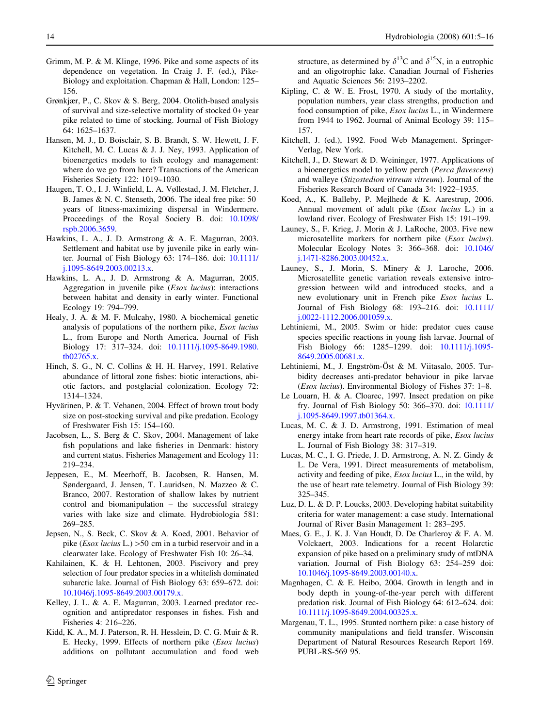- Grimm, M. P. & M. Klinge, 1996. Pike and some aspects of its dependence on vegetation. In Craig J. F. (ed.), Pike-Biology and exploitation. Chapman & Hall, London: 125– 156.
- Grønkjær, P., C. Skov & S. Berg, 2004. Otolith-based analysis of survival and size-selective mortality of stocked 0+ year pike related to time of stocking. Journal of Fish Biology 64: 1625–1637.
- Hansen, M. J., D. Boisclair, S. B. Brandt, S. W. Hewett, J. F. Kitchell, M. C. Lucas & J. J. Ney, 1993. Application of bioenergetics models to fish ecology and management: where do we go from here? Transactions of the American Fisheries Society 122: 1019–1030.
- Haugen, T. O., I. J. Winfield, L. A. Vøllestad, J. M. Fletcher, J. B. James & N. C. Stenseth, 2006. The ideal free pike: 50 years of fitness-maximizing dispersal in Windermere. Proceedings of the Royal Society B. doi: [10.1098/](http://dx.doi.org/10.1098/rspb.2006.3659) [rspb.2006.3659](http://dx.doi.org/10.1098/rspb.2006.3659).
- Hawkins, L. A., J. D. Armstrong & A. E. Magurran, 2003. Settlement and habitat use by juvenile pike in early winter. Journal of Fish Biology 63: 174–186. doi: [10.1111/](http://dx.doi.org/10.1111/j.1095-8649.2003.00213.x) [j.1095-8649.2003.00213.x.](http://dx.doi.org/10.1111/j.1095-8649.2003.00213.x)
- Hawkins, L. A., J. D. Armstrong & A. Magurran, 2005. Aggregation in juvenile pike (Esox lucius): interactions between habitat and density in early winter. Functional Ecology 19: 794–799.
- Healy, J. A. & M. F. Mulcahy, 1980. A biochemical genetic analysis of populations of the northern pike, Esox lucius L., from Europe and North America. Journal of Fish Biology 17: 317–324. doi: [10.1111/j.1095-8649.1980.](http://dx.doi.org/10.1111/j.1095-8649.1980.tb02765.x) [tb02765.x.](http://dx.doi.org/10.1111/j.1095-8649.1980.tb02765.x)
- Hinch, S. G., N. C. Collins & H. H. Harvey, 1991. Relative abundance of littoral zone fishes: biotic interactions, abiotic factors, and postglacial colonization. Ecology 72: 1314–1324.
- Hyvärinen, P. & T. Vehanen, 2004. Effect of brown trout body size on post-stocking survival and pike predation. Ecology of Freshwater Fish 15: 154–160.
- Jacobsen, L., S. Berg & C. Skov, 2004. Management of lake fish populations and lake fisheries in Denmark: history and current status. Fisheries Management and Ecology 11: 219–234.
- Jeppesen, E., M. Meerhoff, B. Jacobsen, R. Hansen, M. Søndergaard, J. Jensen, T. Lauridsen, N. Mazzeo & C. Branco, 2007. Restoration of shallow lakes by nutrient control and biomanipulation – the successful strategy varies with lake size and climate. Hydrobiologia 581: 269–285.
- Jepsen, N., S. Beck, C. Skov & A. Koed, 2001. Behavior of pike (*Esox lucius* L.)  $>50$  cm in a turbid reservoir and in a clearwater lake. Ecology of Freshwater Fish 10: 26–34.
- Kahilainen, K. & H. Lehtonen, 2003. Piscivory and prey selection of four predator species in a whitefish dominated subarctic lake. Journal of Fish Biology 63: 659–672. doi: [10.1046/j.1095-8649.2003.00179.x.](http://dx.doi.org/10.1046/j.1095-8649.2003.00179.x)
- Kelley, J. L. & A. E. Magurran, 2003. Learned predator recognition and antipredator responses in fishes. Fish and Fisheries 4: 216–226.
- Kidd, K. A., M. J. Paterson, R. H. Hesslein, D. C. G. Muir & R. E. Hecky, 1999. Effects of northern pike (Esox lucius) additions on pollutant accumulation and food web

 $\circledcirc$  Springer

structure, as determined by  $\delta^{13}$ C and  $\delta^{15}$ N, in a eutrophic and an oligotrophic lake. Canadian Journal of Fisheries and Aquatic Sciences 56: 2193–2202.

- Kipling, C. & W. E. Frost, 1970. A study of the mortality, population numbers, year class strengths, production and food consumption of pike, Esox lucius L., in Windermere from 1944 to 1962. Journal of Animal Ecology 39: 115– 157.
- Kitchell, J. (ed.), 1992. Food Web Management. Springer-Verlag, New York.
- Kitchell, J., D. Stewart & D. Weininger, 1977. Applications of a bioenergetics model to yellow perch (Perca flavescens) and walleye (Stizostedion vitreum vitreum). Journal of the Fisheries Research Board of Canada 34: 1922–1935.
- Koed, A., K. Balleby, P. Mejlhede & K. Aarestrup, 2006. Annual movement of adult pike (Esox lucius L.) in a lowland river. Ecology of Freshwater Fish 15: 191–199.
- Launey, S., F. Krieg, J. Morin & J. LaRoche, 2003. Five new microsatellite markers for northern pike (Esox lucius). Molecular Ecology Notes 3: 366–368. doi: [10.1046/](http://dx.doi.org/10.1046/j.1471-8286.2003.00452.x) [j.1471-8286.2003.00452.x.](http://dx.doi.org/10.1046/j.1471-8286.2003.00452.x)
- Launey, S., J. Morin, S. Minery & J. Laroche, 2006. Microsatellite genetic variation reveals extensive introgression between wild and introduced stocks, and a new evolutionary unit in French pike Esox lucius L. Journal of Fish Biology 68: 193–216. doi: [10.1111/](http://dx.doi.org/10.1111/j.0022-1112.2006.001059.x) [j.0022-1112.2006.001059.x](http://dx.doi.org/10.1111/j.0022-1112.2006.001059.x).
- Lehtiniemi, M., 2005. Swim or hide: predator cues cause species specific reactions in young fish larvae. Journal of Fish Biology 66: 1285–1299. doi: [10.1111/j.1095-](http://dx.doi.org/10.1111/j.1095-8649.2005.00681.x) [8649.2005.00681.x.](http://dx.doi.org/10.1111/j.1095-8649.2005.00681.x)
- Lehtiniemi, M., J. Engström-Öst & M. Viitasalo, 2005. Turbidity decreases anti-predator behaviour in pike larvae (Esox lucius). Environmental Biology of Fishes 37: 1–8.
- Le Louarn, H. & A. Cloarec, 1997. Insect predation on pike fry. Journal of Fish Biology 50: 366–370. doi: [10.1111/](http://dx.doi.org/10.1111/j.1095-8649.1997.tb01364.x) [j.1095-8649.1997.tb01364.x](http://dx.doi.org/10.1111/j.1095-8649.1997.tb01364.x).
- Lucas, M. C. & J. D. Armstrong, 1991. Estimation of meal energy intake from heart rate records of pike, Esox lucius L. Journal of Fish Biology 38: 317–319.
- Lucas, M. C., I. G. Priede, J. D. Armstrong, A. N. Z. Gindy & L. De Vera, 1991. Direct measurements of metabolism, activity and feeding of pike, Esox lucius L., in the wild, by the use of heart rate telemetry. Journal of Fish Biology 39: 325–345.
- Luz, D. L. & D. P. Loucks, 2003. Developing habitat suitability criteria for water management: a case study. International Journal of River Basin Management 1: 283–295.
- Maes, G. E., J. K. J. Van Houdt, D. De Charleroy & F. A. M. Volckaert, 2003. Indications for a recent Holarctic expansion of pike based on a preliminary study of mtDNA variation. Journal of Fish Biology 63: 254–259 doi: [10.1046/j.1095-8649.2003.00140.x.](http://dx.doi.org/10.1046/j.1095-8649.2003.00140.x)
- Magnhagen, C. & E. Heibo, 2004. Growth in length and in body depth in young-of-the-year perch with different predation risk. Journal of Fish Biology 64: 612–624. doi: [10.1111/j.1095-8649.2004.00325.x.](http://dx.doi.org/10.1111/j.1095-8649.2004.00325.x)
- Margenau, T. L., 1995. Stunted northern pike: a case history of community manipulations and field transfer. Wisconsin Department of Natural Resources Research Report 169. PUBL-RS-569 95.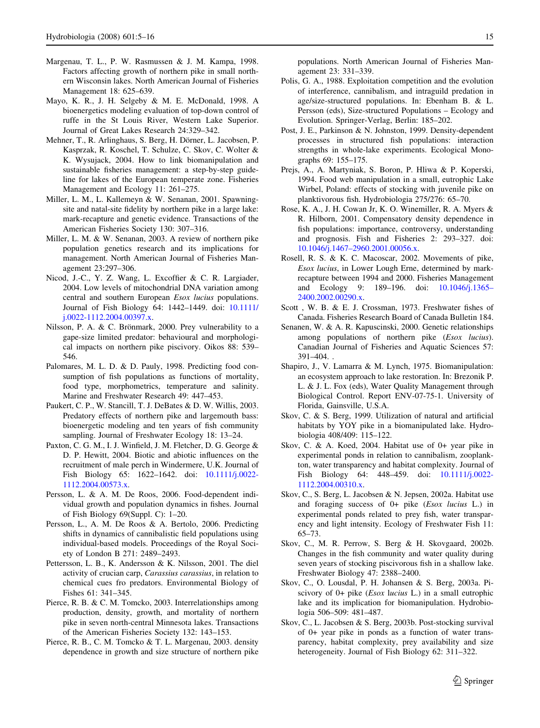- Margenau, T. L., P. W. Rasmussen & J. M. Kampa, 1998. Factors affecting growth of northern pike in small northern Wisconsin lakes. North American Journal of Fisheries Management 18: 625–639.
- Mayo, K. R., J. H. Selgeby & M. E. McDonald, 1998. A bioenergetics modeling evaluation of top-down control of ruffe in the St Louis River, Western Lake Superior. Journal of Great Lakes Research 24:329–342.
- Mehner, T., R. Arlinghaus, S. Berg, H. Dörner, L. Jacobsen, P. Kasprzak, R. Koschel, T. Schulze, C. Skov, C. Wolter & K. Wysujack, 2004. How to link biomanipulation and sustainable fisheries management: a step-by-step guideline for lakes of the European temperate zone. Fisheries Management and Ecology 11: 261–275.
- Miller, L. M., L. Kallemeyn & W. Senanan, 2001. Spawningsite and natal-site fidelity by northern pike in a large lake: mark-recapture and genetic evidence. Transactions of the American Fisheries Society 130: 307–316.
- Miller, L. M. & W. Senanan, 2003. A review of northern pike population genetics research and its implications for management. North American Journal of Fisheries Management 23:297–306.
- Nicod, J.-C., Y. Z. Wang, L. Excoffier & C. R. Largiader, 2004. Low levels of mitochondrial DNA variation among central and southern European Esox lucius populations. Journal of Fish Biology 64: 1442–1449. doi: [10.1111/](http://dx.doi.org/10.1111/j.0022-1112.2004.00397.x) [j.0022-1112.2004.00397.x.](http://dx.doi.org/10.1111/j.0022-1112.2004.00397.x)
- Nilsson, P. A. & C. Brönmark, 2000. Prey vulnerability to a gape-size limited predator: behavioural and morphological impacts on northern pike piscivory. Oikos 88: 539– 546.
- Palomares, M. L. D. & D. Pauly, 1998. Predicting food consumption of fish populations as functions of mortality, food type, morphometrics, temperature and salinity. Marine and Freshwater Research 49: 447–453.
- Paukert, C. P., W. Stancill, T. J. DeBates & D. W. Willis, 2003. Predatory effects of northern pike and largemouth bass: bioenergetic modeling and ten years of fish community sampling. Journal of Freshwater Ecology 18: 13–24.
- Paxton, C. G. M., I. J. Winfield, J. M. Fletcher, D. G. George & D. P. Hewitt, 2004. Biotic and abiotic influences on the recruitment of male perch in Windermere, U.K. Journal of Fish Biology 65: 1622–1642. doi: [10.1111/j.0022-](http://dx.doi.org/10.1111/j.0022-1112.2004.00573.x) [1112.2004.00573.x](http://dx.doi.org/10.1111/j.0022-1112.2004.00573.x).
- Persson, L. & A. M. De Roos, 2006. Food-dependent individual growth and population dynamics in fishes. Journal of Fish Biology 69(Suppl. C): 1–20.
- Persson, L., A. M. De Roos & A. Bertolo, 2006. Predicting shifts in dynamics of cannibalistic field populations using individual-based models. Proceedings of the Royal Society of London B 271: 2489–2493.
- Pettersson, L. B., K. Andersson & K. Nilsson, 2001. The diel activity of crucian carp, Carassius carassius, in relation to chemical cues fro predators. Environmental Biology of Fishes 61: 341–345.
- Pierce, R. B. & C. M. Tomcko, 2003. Interrelationships among production, density, growth, and mortality of northern pike in seven north-central Minnesota lakes. Transactions of the American Fisheries Society 132: 143–153.
- Pierce, R. B., C. M. Tomcko & T. L. Margenau, 2003. density dependence in growth and size structure of northern pike

populations. North American Journal of Fisheries Management 23: 331–339.

- Polis, G. A., 1988. Exploitation competition and the evolution of interference, cannibalism, and intraguild predation in age/size-structured populations. In: Ebenham B. & L. Persson (eds), Size-structured Populations – Ecology and Evolution. Springer-Verlag, Berlin: 185–202.
- Post, J. E., Parkinson & N. Johnston, 1999. Density-dependent processes in structured fish populations: interaction strengths in whole-lake experiments. Ecological Monographs 69: 155–175.
- Prejs, A., A. Martyniak, S. Boron, P. Hliwa & P. Koperski, 1994. Food web manipulation in a small, eutrophic Lake Wirbel, Poland: effects of stocking with juvenile pike on planktivorous fish. Hydrobiologia 275/276: 65–70.
- Rose, K. A., J. H. Cowan Jr, K. O. Winemiller, R. A. Myers & R. Hilborn, 2001. Compensatory density dependence in fish populations: importance, controversy, understanding and prognosis. Fish and Fisheries 2: 293–327. doi: [10.1046/j.1467–2960.2001.00056.x](http://dx.doi.org/10.1046/j.1467–2960.2001.00056.x).
- Rosell, R. S. & K. C. Macoscar, 2002. Movements of pike, Esox lucius, in Lower Lough Erne, determined by markrecapture between 1994 and 2000. Fisheries Management and Ecology 9: 189–196. doi: [10.1046/j.1365–](http://dx.doi.org/10.1046/j.1365–2400.2002.00290.x) [2400.2002.00290.x.](http://dx.doi.org/10.1046/j.1365–2400.2002.00290.x)
- Scott , W. B. & E. J. Crossman, 1973. Freshwater fishes of Canada. Fisheries Research Board of Canada Bulletin 184.
- Senanen, W. & A. R. Kapuscinski, 2000. Genetic relationships among populations of northern pike (Esox lucius). Canadian Journal of Fisheries and Aquatic Sciences 57: 391–404. .
- Shapiro, J., V. Lamarra & M. Lynch, 1975. Biomanipulation: an ecosystem approach to lake restoration. In: Brezonik P. L. & J. L. Fox (eds), Water Quality Management through Biological Control. Report ENV-07-75-1. University of Florida, Gainsville, U.S.A.
- Skov, C. & S. Berg, 1999. Utilization of natural and artificial habitats by YOY pike in a biomanipulated lake. Hydrobiologia 408/409: 115–122.
- Skov, C. & A. Koed, 2004. Habitat use of 0+ year pike in experimental ponds in relation to cannibalism, zooplankton, water transparency and habitat complexity. Journal of Fish Biology 64: 448–459. doi: [10.1111/j.0022-](http://dx.doi.org/10.1111/j.0022-1112.2004.00310.x) [1112.2004.00310.x.](http://dx.doi.org/10.1111/j.0022-1112.2004.00310.x)
- Skov, C., S. Berg, L. Jacobsen & N. Jepsen, 2002a. Habitat use and foraging success of 0+ pike (Esox lucius L.) in experimental ponds related to prey fish, water transparency and light intensity. Ecology of Freshwater Fish 11: 65–73.
- Skov, C., M. R. Perrow, S. Berg & H. Skovgaard, 2002b. Changes in the fish community and water quality during seven years of stocking piscivorous fish in a shallow lake. Freshwater Biology 47: 2388–2400.
- Skov, C., O. Lousdal, P. H. Johansen & S. Berg, 2003a. Piscivory of  $0+$  pike (*Esox lucius L.*) in a small eutrophic lake and its implication for biomanipulation. Hydrobiologia 506–509: 481–487.
- Skov, C., L. Jacobsen & S. Berg, 2003b. Post-stocking survival of 0+ year pike in ponds as a function of water transparency, habitat complexity, prey availability and size heterogeneity. Journal of Fish Biology 62: 311–322.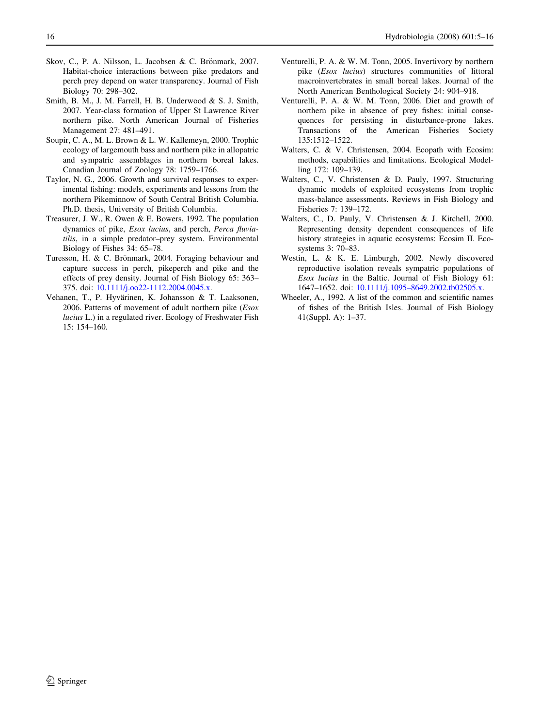- Skov, C., P. A. Nilsson, L. Jacobsen & C. Brönmark, 2007. Habitat-choice interactions between pike predators and perch prey depend on water transparency. Journal of Fish Biology 70: 298–302.
- Smith, B. M., J. M. Farrell, H. B. Underwood & S. J. Smith, 2007. Year-class formation of Upper St Lawrence River northern pike. North American Journal of Fisheries Management 27: 481–491.
- Soupir, C. A., M. L. Brown & L. W. Kallemeyn, 2000. Trophic ecology of largemouth bass and northern pike in allopatric and sympatric assemblages in northern boreal lakes. Canadian Journal of Zoology 78: 1759–1766.
- Taylor, N. G., 2006. Growth and survival responses to experimental fishing: models, experiments and lessons from the northern Pikeminnow of South Central British Columbia. Ph.D. thesis, University of British Columbia.
- Treasurer, J. W., R. Owen & E. Bowers, 1992. The population dynamics of pike, Esox lucius, and perch, Perca fluviatilis, in a simple predator–prey system. Environmental Biology of Fishes 34: 65–78.
- Turesson, H. & C. Brönmark, 2004. Foraging behaviour and capture success in perch, pikeperch and pike and the effects of prey density. Journal of Fish Biology 65: 363– 375. doi: [10.1111/j.oo22-1112.2004.0045.x](http://dx.doi.org/10.1111/j.oo22-1112.2004.0045.x).
- Vehanen, T., P. Hyvärinen, K. Johansson & T. Laaksonen, 2006. Patterns of movement of adult northern pike (Esox lucius L.) in a regulated river. Ecology of Freshwater Fish 15: 154–160.
- Venturelli, P. A. & W. M. Tonn, 2005. Invertivory by northern pike (Esox lucius) structures communities of littoral macroinvertebrates in small boreal lakes. Journal of the North American Benthological Society 24: 904–918.
- Venturelli, P. A. & W. M. Tonn, 2006. Diet and growth of northern pike in absence of prey fishes: initial consequences for persisting in disturbance-prone lakes. Transactions of the American Fisheries Society 135:1512–1522.
- Walters, C. & V. Christensen, 2004. Ecopath with Ecosim: methods, capabilities and limitations. Ecological Modelling 172: 109–139.
- Walters, C., V. Christensen & D. Pauly, 1997. Structuring dynamic models of exploited ecosystems from trophic mass-balance assessments. Reviews in Fish Biology and Fisheries 7: 139–172.
- Walters, C., D. Pauly, V. Christensen & J. Kitchell, 2000. Representing density dependent consequences of life history strategies in aquatic ecosystems: Ecosim II. Ecosystems 3: 70–83.
- Westin, L. & K. E. Limburgh, 2002. Newly discovered reproductive isolation reveals sympatric populations of Esox lucius in the Baltic. Journal of Fish Biology 61: 1647–1652. doi: [10.1111/j.1095–8649.2002.tb02505.x.](http://dx.doi.org/10.1111/j.1095–8649.2002.tb02505.x)
- Wheeler, A., 1992. A list of the common and scientific names of fishes of the British Isles. Journal of Fish Biology 41(Suppl. A): 1–37.